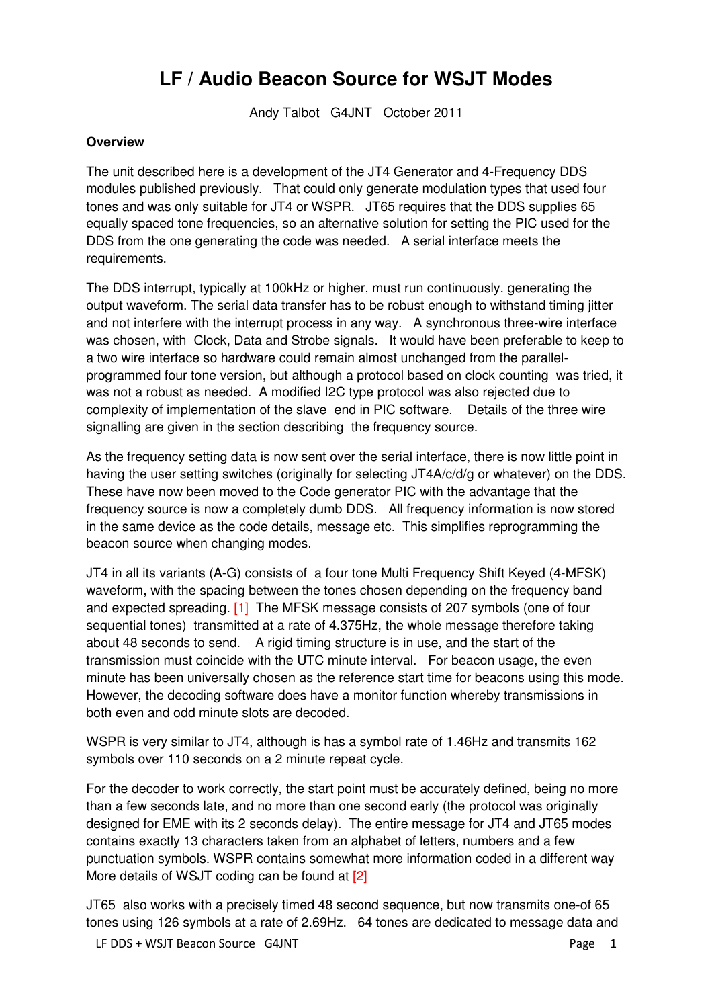# **LF / Audio Beacon Source for WSJT Modes**

Andy Talbot G4JNT October 2011

### **Overview**

The unit described here is a development of the JT4 Generator and 4-Frequency DDS modules published previously. That could only generate modulation types that used four tones and was only suitable for JT4 or WSPR. JT65 requires that the DDS supplies 65 equally spaced tone frequencies, so an alternative solution for setting the PIC used for the DDS from the one generating the code was needed. A serial interface meets the requirements.

The DDS interrupt, typically at 100kHz or higher, must run continuously. generating the output waveform. The serial data transfer has to be robust enough to withstand timing jitter and not interfere with the interrupt process in any way. A synchronous three-wire interface was chosen, with Clock, Data and Strobe signals. It would have been preferable to keep to a two wire interface so hardware could remain almost unchanged from the parallelprogrammed four tone version, but although a protocol based on clock counting was tried, it was not a robust as needed. A modified I2C type protocol was also rejected due to complexity of implementation of the slave end in PIC software. Details of the three wire signalling are given in the section describing the frequency source.

As the frequency setting data is now sent over the serial interface, there is now little point in having the user setting switches (originally for selecting JT4A/c/d/g or whatever) on the DDS. These have now been moved to the Code generator PIC with the advantage that the frequency source is now a completely dumb DDS. All frequency information is now stored in the same device as the code details, message etc. This simplifies reprogramming the beacon source when changing modes.

JT4 in all its variants (A-G) consists of a four tone Multi Frequency Shift Keyed (4-MFSK) waveform, with the spacing between the tones chosen depending on the frequency band and expected spreading. [1] The MFSK message consists of 207 symbols (one of four sequential tones) transmitted at a rate of 4.375Hz, the whole message therefore taking about 48 seconds to send. A rigid timing structure is in use, and the start of the transmission must coincide with the UTC minute interval. For beacon usage, the even minute has been universally chosen as the reference start time for beacons using this mode. However, the decoding software does have a monitor function whereby transmissions in both even and odd minute slots are decoded.

WSPR is very similar to JT4, although is has a symbol rate of 1.46Hz and transmits 162 symbols over 110 seconds on a 2 minute repeat cycle.

For the decoder to work correctly, the start point must be accurately defined, being no more than a few seconds late, and no more than one second early (the protocol was originally designed for EME with its 2 seconds delay). The entire message for JT4 and JT65 modes contains exactly 13 characters taken from an alphabet of letters, numbers and a few punctuation symbols. WSPR contains somewhat more information coded in a different way More details of WSJT coding can be found at [2]

JT65 also works with a precisely timed 48 second sequence, but now transmits one-of 65 tones using 126 symbols at a rate of 2.69Hz. 64 tones are dedicated to message data and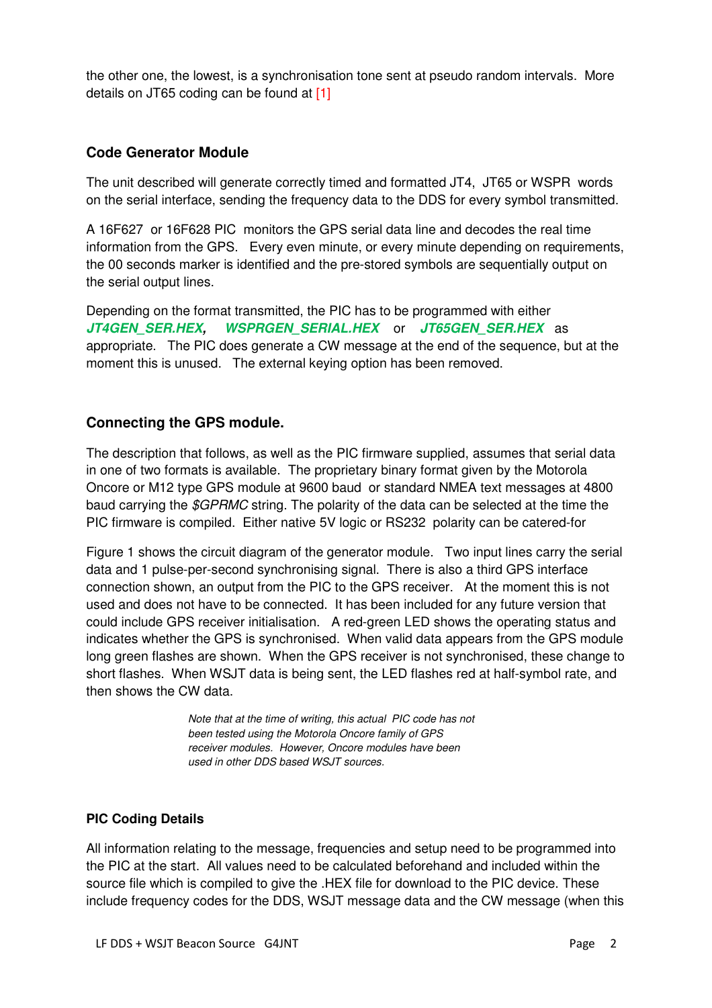the other one, the lowest, is a synchronisation tone sent at pseudo random intervals. More details on JT65 coding can be found at [1]

# **Code Generator Module**

The unit described will generate correctly timed and formatted JT4, JT65 or WSPR words on the serial interface, sending the frequency data to the DDS for every symbol transmitted.

A 16F627 or 16F628 PIC monitors the GPS serial data line and decodes the real time information from the GPS. Every even minute, or every minute depending on requirements, the 00 seconds marker is identified and the pre-stored symbols are sequentially output on the serial output lines.

Depending on the format transmitted, the PIC has to be programmed with either **JT4GEN\_SER.HEX, WSPRGEN\_SERIAL.HEX** or **JT65GEN\_SER.HEX** as appropriate. The PIC does generate a CW message at the end of the sequence, but at the moment this is unused. The external keying option has been removed.

# **Connecting the GPS module.**

The description that follows, as well as the PIC firmware supplied, assumes that serial data in one of two formats is available. The proprietary binary format given by the Motorola Oncore or M12 type GPS module at 9600 baud or standard NMEA text messages at 4800 baud carrying the \$GPRMC string. The polarity of the data can be selected at the time the PIC firmware is compiled. Either native 5V logic or RS232 polarity can be catered-for

Figure 1 shows the circuit diagram of the generator module. Two input lines carry the serial data and 1 pulse-per-second synchronising signal. There is also a third GPS interface connection shown, an output from the PIC to the GPS receiver. At the moment this is not used and does not have to be connected. It has been included for any future version that could include GPS receiver initialisation. A red-green LED shows the operating status and indicates whether the GPS is synchronised. When valid data appears from the GPS module long green flashes are shown. When the GPS receiver is not synchronised, these change to short flashes. When WSJT data is being sent, the LED flashes red at half-symbol rate, and then shows the CW data.

> Note that at the time of writing, this actual PIC code has not been tested using the Motorola Oncore family of GPS receiver modules. However, Oncore modules have been used in other DDS based WSJT sources.

# **PIC Coding Details**

All information relating to the message, frequencies and setup need to be programmed into the PIC at the start. All values need to be calculated beforehand and included within the source file which is compiled to give the .HEX file for download to the PIC device. These include frequency codes for the DDS, WSJT message data and the CW message (when this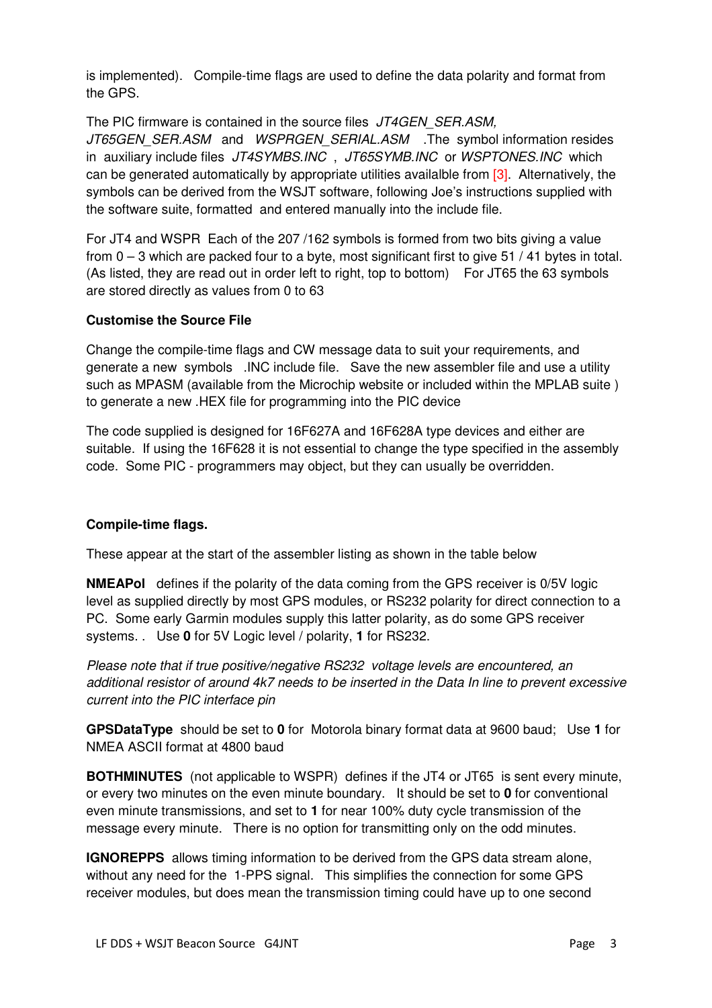is implemented). Compile-time flags are used to define the data polarity and format from the GPS.

The PIC firmware is contained in the source files JT4GEN SER.ASM, JT65GEN SER.ASM and WSPRGEN SERIAL.ASM .The symbol information resides in auxiliary include files JT4SYMBS.INC, JT65SYMB.INC or WSPTONES.INC which can be generated automatically by appropriate utilities availalble from [3]. Alternatively, the symbols can be derived from the WSJT software, following Joe's instructions supplied with the software suite, formatted and entered manually into the include file.

For JT4 and WSPR Each of the 207 /162 symbols is formed from two bits giving a value from 0 – 3 which are packed four to a byte, most significant first to give 51 / 41 bytes in total. (As listed, they are read out in order left to right, top to bottom) For JT65 the 63 symbols are stored directly as values from 0 to 63

### **Customise the Source File**

Change the compile-time flags and CW message data to suit your requirements, and generate a new symbols .INC include file. Save the new assembler file and use a utility such as MPASM (available from the Microchip website or included within the MPLAB suite ) to generate a new .HEX file for programming into the PIC device

The code supplied is designed for 16F627A and 16F628A type devices and either are suitable. If using the 16F628 it is not essential to change the type specified in the assembly code. Some PIC - programmers may object, but they can usually be overridden.

# **Compile-time flags.**

These appear at the start of the assembler listing as shown in the table below

**NMEAPol** defines if the polarity of the data coming from the GPS receiver is 0/5V logic level as supplied directly by most GPS modules, or RS232 polarity for direct connection to a PC. Some early Garmin modules supply this latter polarity, as do some GPS receiver systems. . Use **0** for 5V Logic level / polarity, **1** for RS232.

Please note that if true positive/negative RS232 voltage levels are encountered, an additional resistor of around 4k7 needs to be inserted in the Data In line to prevent excessive current into the PIC interface pin

**GPSDataType** should be set to **0** for Motorola binary format data at 9600 baud; Use **1** for NMEA ASCII format at 4800 baud

**BOTHMINUTES** (not applicable to WSPR) defines if the JT4 or JT65 is sent every minute, or every two minutes on the even minute boundary. It should be set to **0** for conventional even minute transmissions, and set to **1** for near 100% duty cycle transmission of the message every minute. There is no option for transmitting only on the odd minutes.

**IGNOREPPS** allows timing information to be derived from the GPS data stream alone, without any need for the 1-PPS signal. This simplifies the connection for some GPS receiver modules, but does mean the transmission timing could have up to one second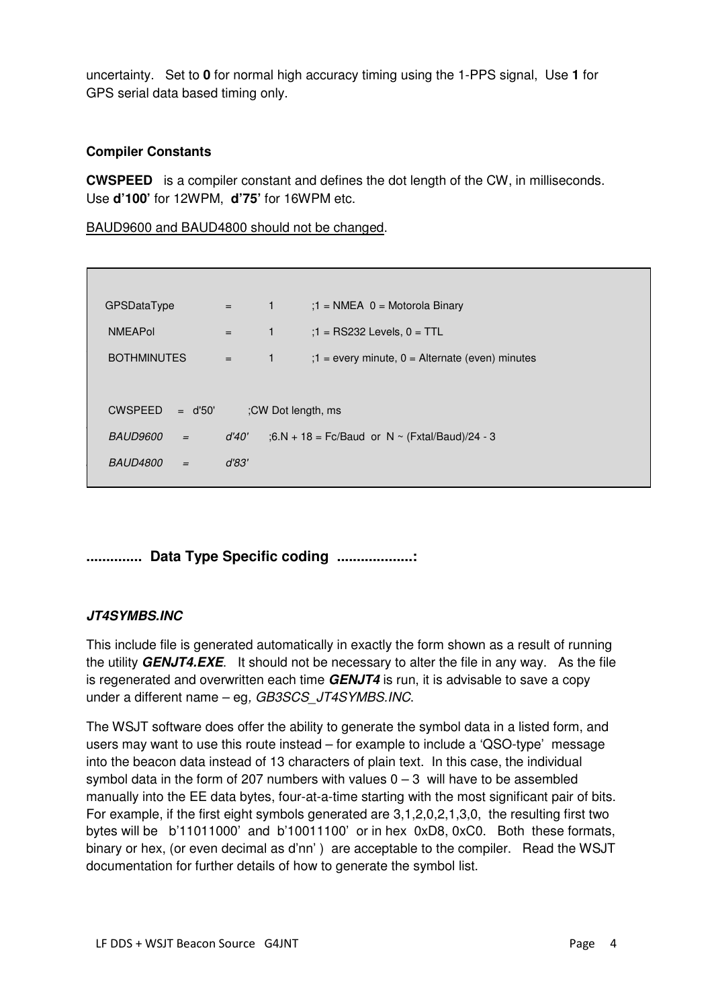uncertainty. Set to **0** for normal high accuracy timing using the 1-PPS signal, Use **1** for GPS serial data based timing only.

### **Compiler Constants**

**CWSPEED** is a compiler constant and defines the dot length of the CW, in milliseconds. Use **d'100'** for 12WPM, **d'75'** for 16WPM etc.

BAUD9600 and BAUD4800 should not be changed.

| GPSDataType                 | $\equiv$ 100 $\pm$ | $\overline{1}$     | $:1 = \text{NMEA}$ 0 = Motorola Binary               |  |  |  |
|-----------------------------|--------------------|--------------------|------------------------------------------------------|--|--|--|
| <b>NMEAPol</b>              | $=$                | $\mathbf{1}$       | $:1 = RS232$ Levels, $0 = TTL$                       |  |  |  |
| <b>BOTHMINUTES</b>          | $=$ $-$            | $\mathbf{1}$       | $: 1 =$ every minute, $0 =$ Alternate (even) minutes |  |  |  |
|                             |                    |                    |                                                      |  |  |  |
| <b>CWSPEED</b><br>$=$ d'50' |                    | :CW Dot length, ms |                                                      |  |  |  |
| BAUD9600<br>$=$             | d'40'              |                    | ;6.N + 18 = Fc/Baud or N ~ (Fxtal/Baud)/24 - 3       |  |  |  |
| <b>BAUD4800</b><br>$=$      | d'83'              |                    |                                                      |  |  |  |
|                             |                    |                    |                                                      |  |  |  |

**.............. Data Type Specific coding ...................:** 

# **JT4SYMBS.INC**

This include file is generated automatically in exactly the form shown as a result of running the utility **GENJT4.EXE**. It should not be necessary to alter the file in any way. As the file is regenerated and overwritten each time **GENJT4** is run, it is advisable to save a copy under a different name - eg, GB3SCS\_JT4SYMBS.INC.

The WSJT software does offer the ability to generate the symbol data in a listed form, and users may want to use this route instead – for example to include a 'QSO-type' message into the beacon data instead of 13 characters of plain text. In this case, the individual symbol data in the form of 207 numbers with values  $0 - 3$  will have to be assembled manually into the EE data bytes, four-at-a-time starting with the most significant pair of bits. For example, if the first eight symbols generated are 3,1,2,0,2,1,3,0, the resulting first two bytes will be b'11011000' and b'10011100' or in hex 0xD8, 0xC0. Both these formats, binary or hex, (or even decimal as d'nn' ) are acceptable to the compiler. Read the WSJT documentation for further details of how to generate the symbol list.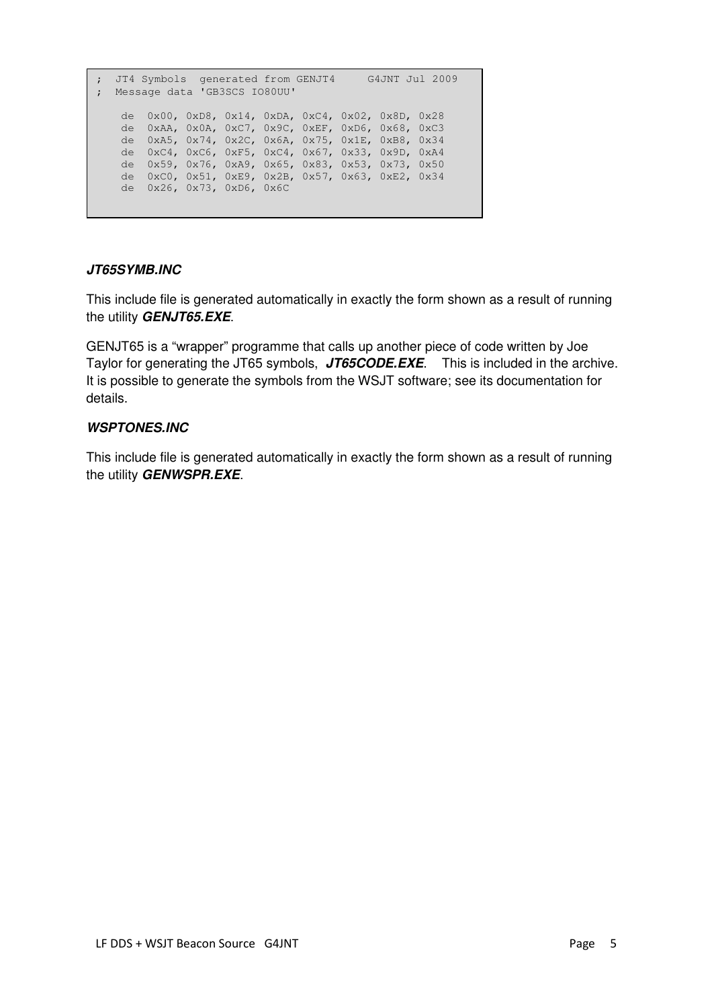```
; JT4 Symbols generated from GENJT4 G4JNT Jul 2009 
; Message data 'GB3SCS IO80UU' 
   de 0x00, 0xD8, 0x14, 0xDA, 0xC4, 0x02, 0x8D, 0x28 
   de 0xAA, 0x0A, 0xC7, 0x9C, 0xEF, 0xD6, 0x68, 0xC3 
   de 0xA5, 0x74, 0x2C, 0x6A, 0x75, 0x1E, 0xB8, 0x34 
   de 0xC4, 0xC6, 0xF5, 0xC4, 0x67, 0x33, 0x9D, 0xA4 
   de 0x59, 0x76, 0xA9, 0x65, 0x83, 0x53, 0x73, 0x50 
   de 0xC0, 0x51, 0xE9, 0x2B, 0x57, 0x63, 0xE2, 0x34 
   de 0x26, 0x73, 0xD6, 0x6C
```
# **JT65SYMB.INC**

This include file is generated automatically in exactly the form shown as a result of running the utility **GENJT65.EXE**.

GENJT65 is a "wrapper" programme that calls up another piece of code written by Joe Taylor for generating the JT65 symbols, **JT65CODE.EXE**. This is included in the archive. It is possible to generate the symbols from the WSJT software; see its documentation for details.

# **WSPTONES.INC**

This include file is generated automatically in exactly the form shown as a result of running the utility **GENWSPR.EXE**.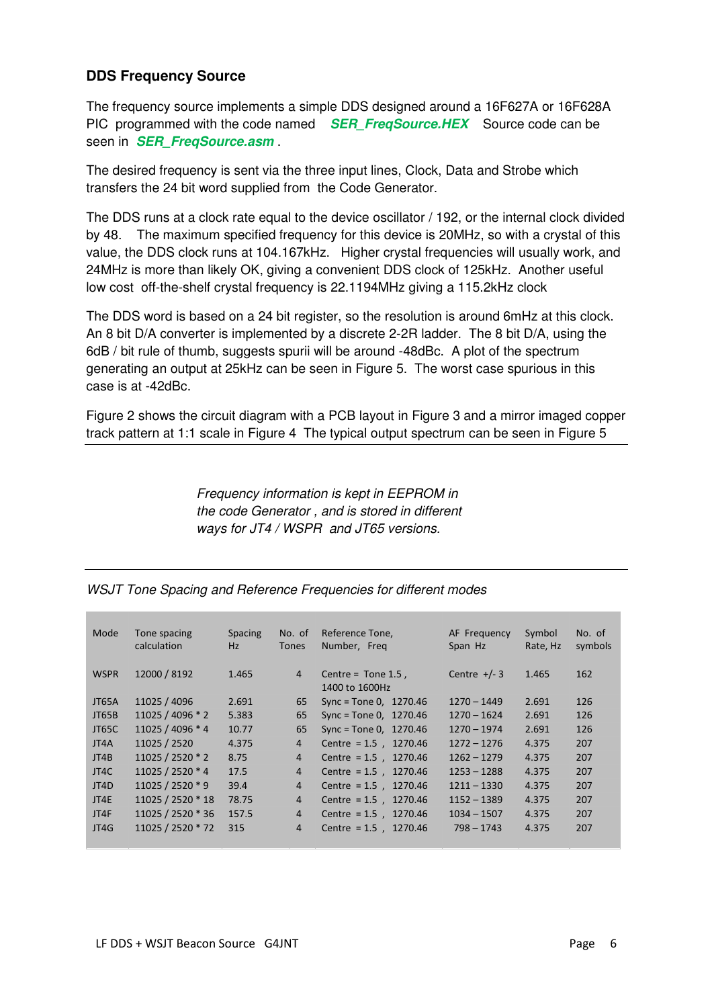# **DDS Frequency Source**

The frequency source implements a simple DDS designed around a 16F627A or 16F628A PIC programmed with the code named **SER\_FreqSource.HEX** Source code can be seen in **SER\_FreqSource.asm** .

The desired frequency is sent via the three input lines, Clock, Data and Strobe which transfers the 24 bit word supplied from the Code Generator.

The DDS runs at a clock rate equal to the device oscillator / 192, or the internal clock divided by 48. The maximum specified frequency for this device is 20MHz, so with a crystal of this value, the DDS clock runs at 104.167kHz. Higher crystal frequencies will usually work, and 24MHz is more than likely OK, giving a convenient DDS clock of 125kHz. Another useful low cost off-the-shelf crystal frequency is 22.1194MHz giving a 115.2kHz clock

The DDS word is based on a 24 bit register, so the resolution is around 6mHz at this clock. An 8 bit D/A converter is implemented by a discrete 2-2R ladder. The 8 bit D/A, using the 6dB / bit rule of thumb, suggests spurii will be around -48dBc. A plot of the spectrum generating an output at 25kHz can be seen in Figure 5. The worst case spurious in this case is at -42dBc.

Figure 2 shows the circuit diagram with a PCB layout in Figure 3 and a mirror imaged copper track pattern at 1:1 scale in Figure 4 The typical output spectrum can be seen in Figure 5

> Frequency information is kept in EEPROM in the code Generator , and is stored in different ways for JT4 / WSPR and JT65 versions.

| Mode         | Tone spacing      | <b>Spacing</b> | No. of         | Reference Tone,          | AF Frequency   | Symbol   | No. of  |
|--------------|-------------------|----------------|----------------|--------------------------|----------------|----------|---------|
|              | calculation       | Hz             | <b>Tones</b>   | Number, Freg             | Span Hz        | Rate, Hz | symbols |
|              |                   |                |                |                          |                |          |         |
| <b>WSPR</b>  | 12000 / 8192      | 1.465          | $\overline{4}$ | Centre = $Tone 1.5$ ,    | Centre $+/- 3$ | 1.465    | 162     |
|              |                   |                |                | 1400 to 1600Hz           |                |          |         |
| <b>JT65A</b> | 11025 / 4096      | 2.691          | 65             | Sync = Tone 0, $1270.46$ | $1270 - 1449$  | 2.691    | 126     |
| JT65B        | 11025 / 4096 * 2  | 5.383          | 65             | Sync = Tone 0, $1270.46$ | $1270 - 1624$  | 2.691    | 126     |
| JT65C        | 11025 / 4096 * 4  | 10.77          | 65             | Sync = Tone 0, $1270.46$ | $1270 - 1974$  | 2.691    | 126     |
| JT4A         | 11025 / 2520      | 4.375          | $\overline{4}$ | Centre = $1.5$ , 1270.46 | $1272 - 1276$  | 4.375    | 207     |
| JT4B         | 11025 / 2520 * 2  | 8.75           | $\overline{4}$ | Centre = $1.5$ , 1270.46 | $1262 - 1279$  | 4.375    | 207     |
| JT4C         | 11025 / 2520 * 4  | 17.5           | $\overline{4}$ | Centre = $1.5$ , 1270.46 | $1253 - 1288$  | 4.375    | 207     |
| JT4D         | 11025 / 2520 * 9  | 39.4           | $\overline{4}$ | Centre = $1.5$ , 1270.46 | $1211 - 1330$  | 4.375    | 207     |
| JT4E         | 11025 / 2520 * 18 | 78.75          | $\overline{4}$ | Centre = $1.5$ , 1270.46 | $1152 - 1389$  | 4.375    | 207     |
| JT4F         | 11025 / 2520 * 36 | 157.5          | $\overline{4}$ | Centre = $1.5$ , 1270.46 | $1034 - 1507$  | 4.375    | 207     |
| JT4G         | 11025 / 2520 * 72 | 315            | $\overline{4}$ | Centre = $1.5$ , 1270.46 | $798 - 1743$   | 4.375    | 207     |
|              |                   |                |                |                          |                |          |         |

WSJT Tone Spacing and Reference Frequencies for different modes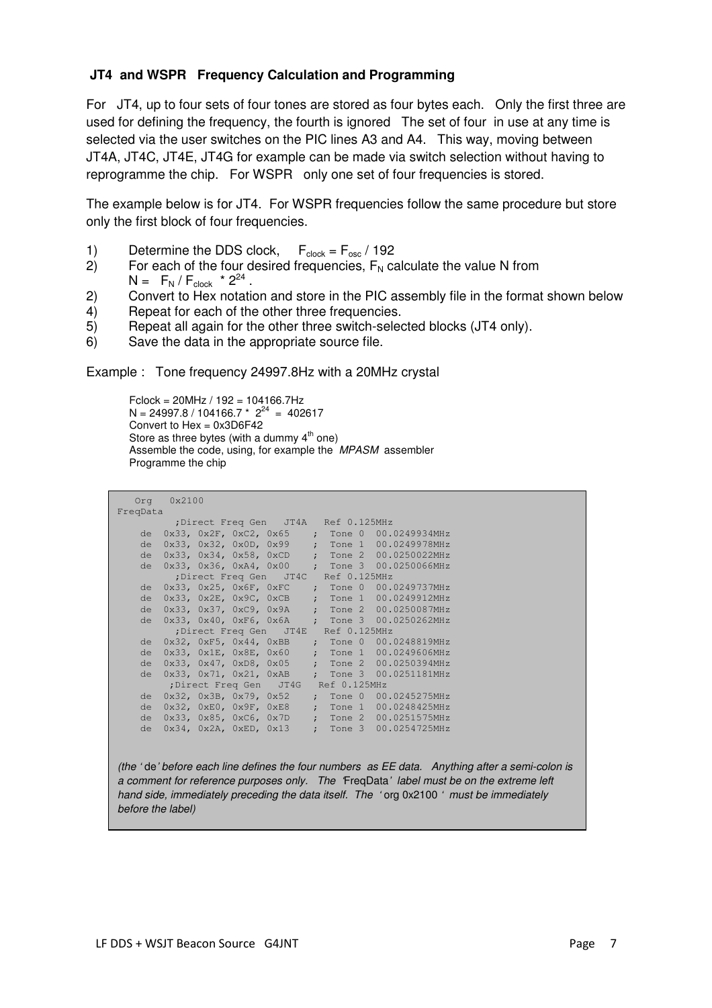# **JT4 and WSPR Frequency Calculation and Programming**

For JT4, up to four sets of four tones are stored as four bytes each. Only the first three are used for defining the frequency, the fourth is ignored The set of four in use at any time is selected via the user switches on the PIC lines A3 and A4. This way, moving between JT4A, JT4C, JT4E, JT4G for example can be made via switch selection without having to reprogramme the chip. For WSPR only one set of four frequencies is stored.

The example below is for JT4. For WSPR frequencies follow the same procedure but store only the first block of four frequencies.

- 1) Determine the DDS clock,  $F_{clock} = F_{osc} / 192$
- 2) For each of the four desired frequencies,  $F_N$  calculate the value N from  $N = F_N / F_{clock} * 2^{24}$ .
- 2) Convert to Hex notation and store in the PIC assembly file in the format shown below
- 4) Repeat for each of the other three frequencies.
- 5) Repeat all again for the other three switch-selected blocks (JT4 only).
- 6) Save the data in the appropriate source file.

Example : Tone frequency 24997.8Hz with a 20MHz crystal

Fclock = 20MHz / 192 = 104166.7Hz N = 24997.8 / 104166.7  $*$  2<sup>24</sup> = 402617 Convert to Hex = 0x3D6F42 Store as three bytes (with a dummy  $4<sup>th</sup>$  one) Assemble the code, using, for example the MPASM assembler Programme the chip

```
 Org 0x2100 
FreqData 
         ;Direct Freq Gen JT4A Ref 0.125MHz 
 de 0x33, 0x2F, 0xC2, 0x65 ; Tone 0 00.0249934MHz 
 de 0x33, 0x32, 0x0D, 0x99 ; Tone 1 00.0249978MHz 
 de 0x33, 0x34, 0x58, 0xCD ; Tone 2 00.0250022MHz 
 de 0x33, 0x36, 0xA4, 0x00 ; Tone 3 00.0250066MHz 
 ;Direct Freq Gen JT4C Ref 0.125MHz 
 de 0x33, 0x25, 0x6F, 0xFC ; Tone 0 00.0249737MHz 
 de 0x33, 0x2E, 0x9C, 0xCB ; Tone 1 00.0249912MHz 
 de 0x33, 0x37, 0xC9, 0x9A ; Tone 2 00.0250087MHz 
 de 0x33, 0x40, 0xF6, 0x6A ; Tone 3 00.0250262MHz 
 ;Direct Freq Gen JT4E Ref 0.125MHz 
 de 0x32, 0xF5, 0x44, 0xBB ; Tone 0 00.0248819MHz 
 de 0x33, 0x1E, 0x8E, 0x60 ; Tone 1 00.0249606MHz 
 de 0x33, 0x47, 0xD8, 0x05 ; Tone 2 00.0250394MHz 
 de 0x33, 0x71, 0x21, 0xAB ; Tone 3 00.0251181MHz 
 ;Direct Freq Gen JT4G Ref 0.125MHz 
 de 0x32, 0x3B, 0x79, 0x52 ; Tone 0 00.0245275MHz 
 de 0x32, 0xE0, 0x9F, 0xE8 ; Tone 1 00.0248425MHz 
 de 0x33, 0x85, 0xC6, 0x7D ; Tone 2 00.0251575MHz 
 de 0x34, 0x2A, 0xED, 0x13 ; Tone 3 00.0254725MHz 
(the ' de' before each line defines the four numbers as EE data. Anything after a semi-colon is
```
a comment for reference purposes only. The 'FreqData' label must be on the extreme left hand side, immediately preceding the data itself. The 'org 0x2100' must be immediately before the label)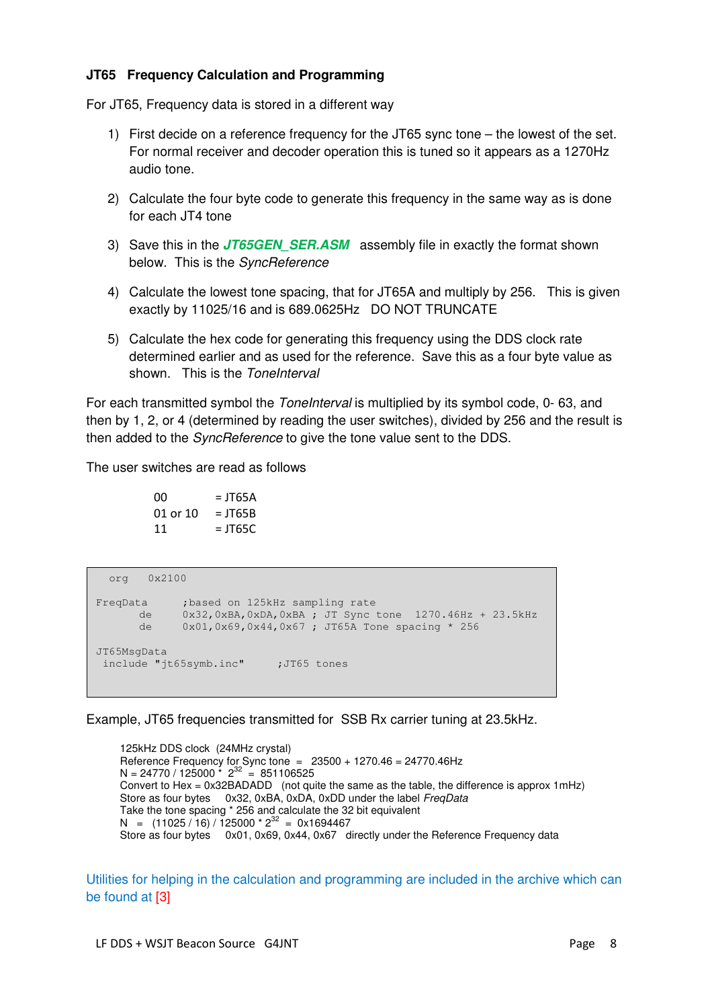### **JT65 Frequency Calculation and Programming**

For JT65, Frequency data is stored in a different way

- 1) First decide on a reference frequency for the JT65 sync tone the lowest of the set. For normal receiver and decoder operation this is tuned so it appears as a 1270Hz audio tone.
- 2) Calculate the four byte code to generate this frequency in the same way as is done for each JT4 tone
- 3) Save this in the **JT65GEN\_SER.ASM** assembly file in exactly the format shown below. This is the SyncReference
- 4) Calculate the lowest tone spacing, that for JT65A and multiply by 256. This is given exactly by 11025/16 and is 689.0625Hz DO NOT TRUNCATE
- 5) Calculate the hex code for generating this frequency using the DDS clock rate determined earlier and as used for the reference. Save this as a four byte value as shown. This is the ToneInterval

For each transmitted symbol the *ToneInterval* is multiplied by its symbol code, 0-63, and then by 1, 2, or 4 (determined by reading the user switches), divided by 256 and the result is then added to the *SyncReference* to give the tone value sent to the DDS.

The user switches are read as follows

 $00 = JT65A$ 01 or  $10 = JT65B$  $11 = ITS5C$ 

```
 org 0x2100 
FreqData ;based on 125kHz sampling rate 
       de 0x32,0xBA,0xDA,0xBA ; JT Sync tone 1270.46Hz + 23.5kHz 
       de 0x01,0x69,0x44,0x67 ; JT65A Tone spacing * 256 
JT65MsgData 
 include "jt65symb.inc" ;JT65 tones
```
Example, JT65 frequencies transmitted for SSB Rx carrier tuning at 23.5kHz.

125kHz DDS clock (24MHz crystal) Reference Frequency for Sync tone  $= 23500 + 1270.46 = 24770.46$ Hz  $N = 24770 / 125000 \times 2^{32} = 851106525$ Convert to Hex = 0x32BADADD (not quite the same as the table, the difference is approx 1mHz) Store as four bytes 0x32, 0xBA, 0xDA, 0xDD under the label FreqData Take the tone spacing \* 256 and calculate the 32 bit equivalent  $N = (11025 / 16) / 125000 * 2^{32} = 0x1694467$ Store as four bytes 0x01, 0x69, 0x44, 0x67 directly under the Reference Frequency data

Utilities for helping in the calculation and programming are included in the archive which can be found at [3]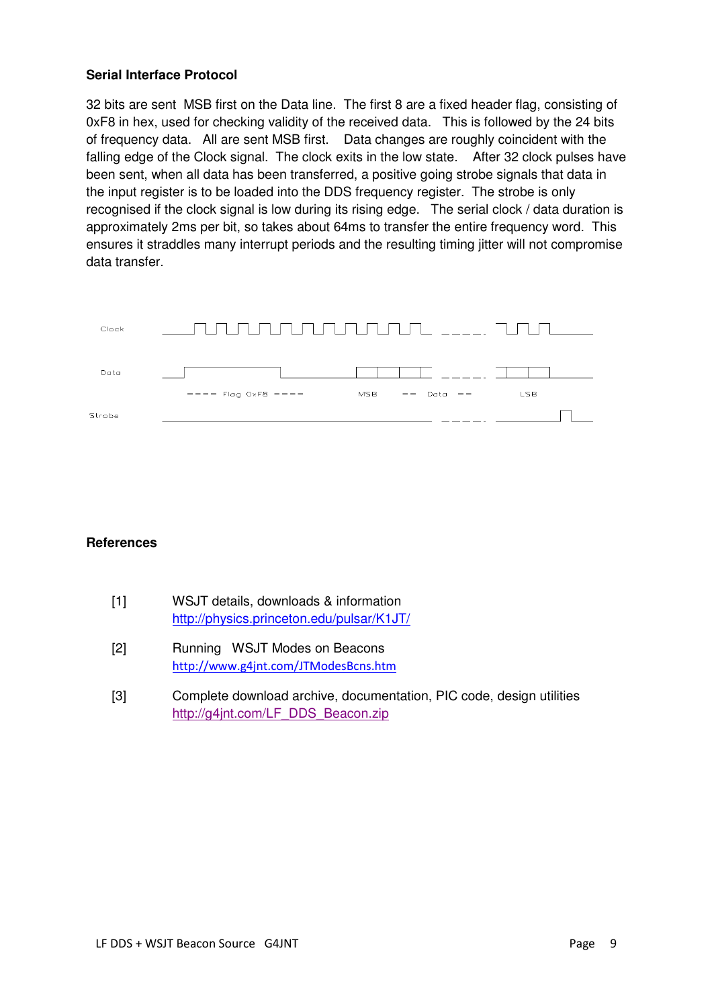### **Serial Interface Protocol**

32 bits are sent MSB first on the Data line. The first 8 are a fixed header flag, consisting of 0xF8 in hex, used for checking validity of the received data. This is followed by the 24 bits of frequency data. All are sent MSB first. Data changes are roughly coincident with the falling edge of the Clock signal. The clock exits in the low state. After 32 clock pulses have been sent, when all data has been transferred, a positive going strobe signals that data in the input register is to be loaded into the DDS frequency register. The strobe is only recognised if the clock signal is low during its rising edge. The serial clock / data duration is approximately 2ms per bit, so takes about 64ms to transfer the entire frequency word. This ensures it straddles many interrupt periods and the resulting timing jitter will not compromise data transfer.



### **References**

- [1] WSJT details, downloads & information http://physics.princeton.edu/pulsar/K1JT/
- [2] Running WSJT Modes on Beacons http://www.g4jnt.com/JTModesBcns.htm
- [3] Complete download archive, documentation, PIC code, design utilities http://g4jnt.com/LF\_DDS\_Beacon.zip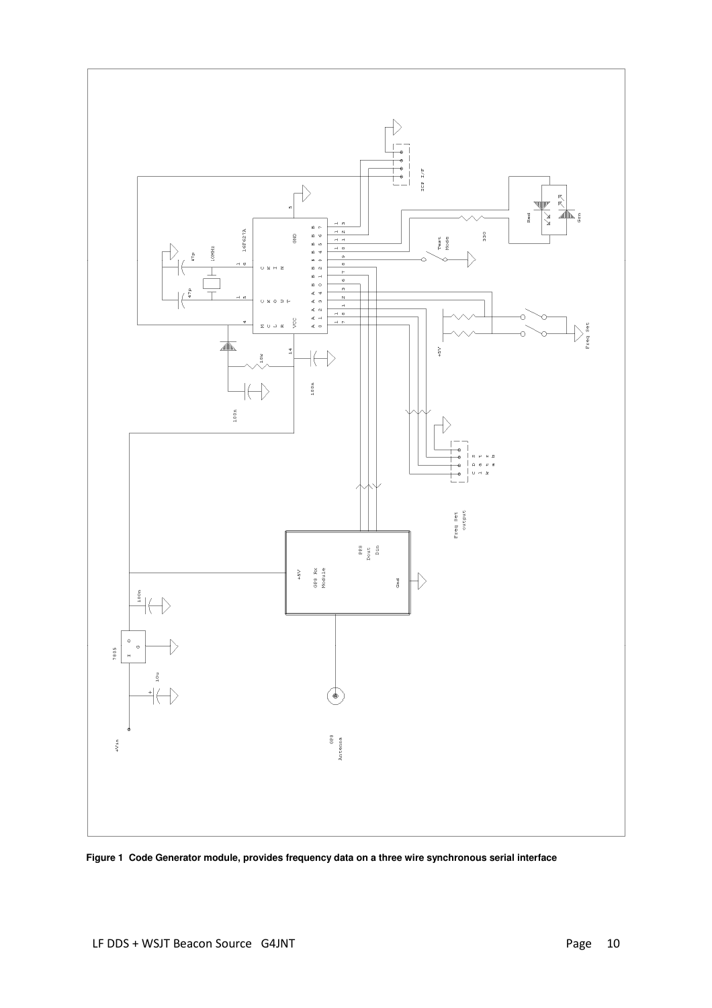

**Figure 1 Code Generator module, provides frequency data on a three wire synchronous serial interface**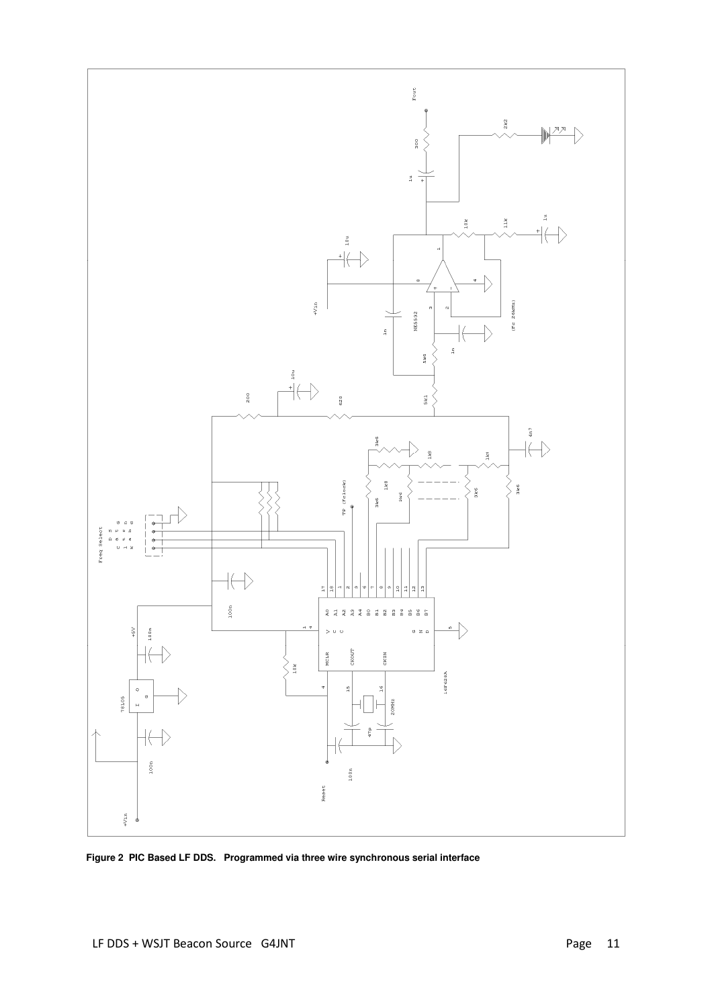

**Figure 2 PIC Based LF DDS. Programmed via three wire synchronous serial interface**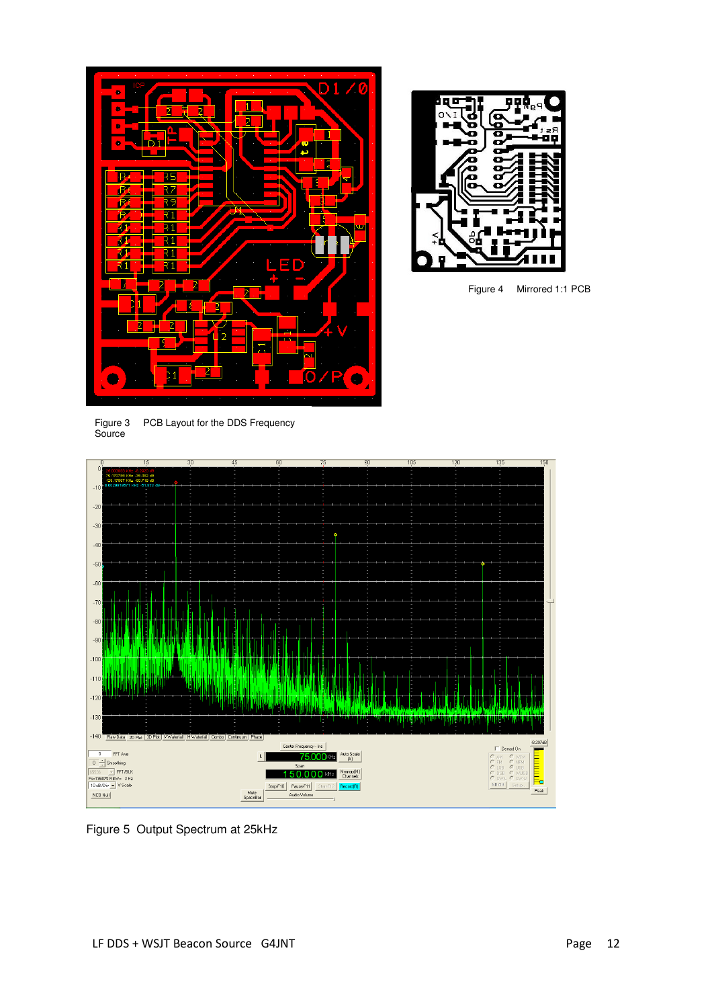



Figure 4 Mirrored 1:1 PCB

Figure 3 PCB Layout for the DDS Frequency Source



Figure 5 Output Spectrum at 25kHz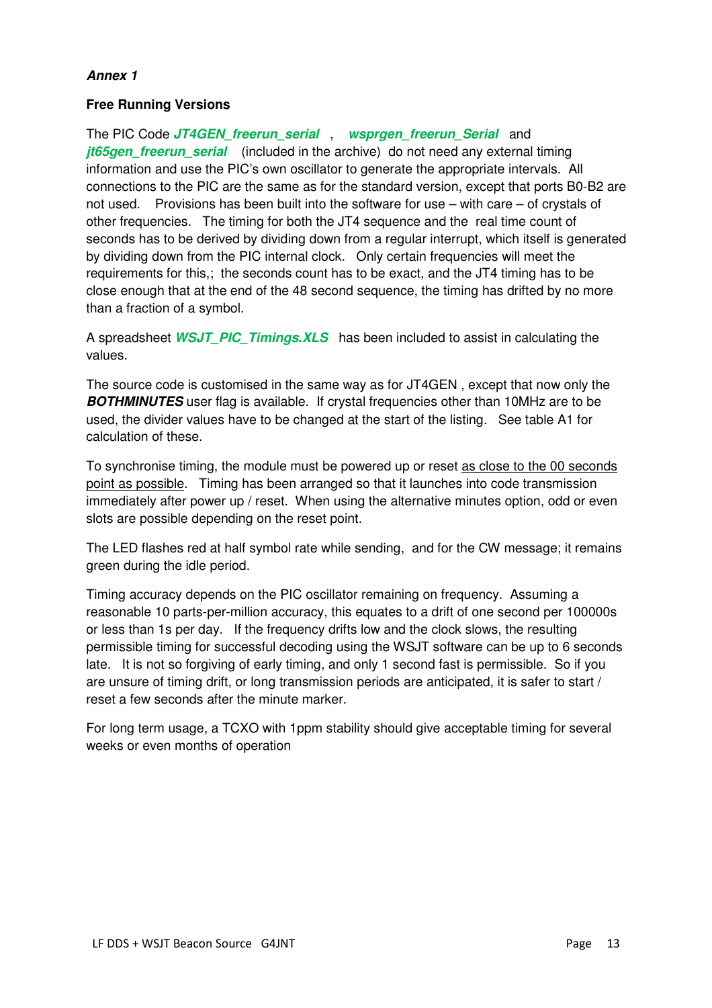### **Annex 1**

### **Free Running Versions**

The PIC Code **JT4GEN\_freerun\_serial** , **wsprgen\_freerun\_Serial** and *jt65gen freerun serial* (included in the archive) do not need any external timing information and use the PIC's own oscillator to generate the appropriate intervals. All connections to the PIC are the same as for the standard version, except that ports B0-B2 are not used. Provisions has been built into the software for use – with care – of crystals of other frequencies. The timing for both the JT4 sequence and the real time count of seconds has to be derived by dividing down from a regular interrupt, which itself is generated by dividing down from the PIC internal clock. Only certain frequencies will meet the requirements for this,; the seconds count has to be exact, and the JT4 timing has to be close enough that at the end of the 48 second sequence, the timing has drifted by no more than a fraction of a symbol.

A spreadsheet **WSJT\_PIC\_Timings.XLS** has been included to assist in calculating the values.

The source code is customised in the same way as for JT4GEN , except that now only the **BOTHMINUTES** user flag is available. If crystal frequencies other than 10MHz are to be used, the divider values have to be changed at the start of the listing. See table A1 for calculation of these.

To synchronise timing, the module must be powered up or reset as close to the 00 seconds point as possible. Timing has been arranged so that it launches into code transmission immediately after power up / reset. When using the alternative minutes option, odd or even slots are possible depending on the reset point.

The LED flashes red at half symbol rate while sending, and for the CW message; it remains green during the idle period.

Timing accuracy depends on the PIC oscillator remaining on frequency. Assuming a reasonable 10 parts-per-million accuracy, this equates to a drift of one second per 100000s or less than 1s per day. If the frequency drifts low and the clock slows, the resulting permissible timing for successful decoding using the WSJT software can be up to 6 seconds late. It is not so forgiving of early timing, and only 1 second fast is permissible. So if you are unsure of timing drift, or long transmission periods are anticipated, it is safer to start / reset a few seconds after the minute marker.

For long term usage, a TCXO with 1ppm stability should give acceptable timing for several weeks or even months of operation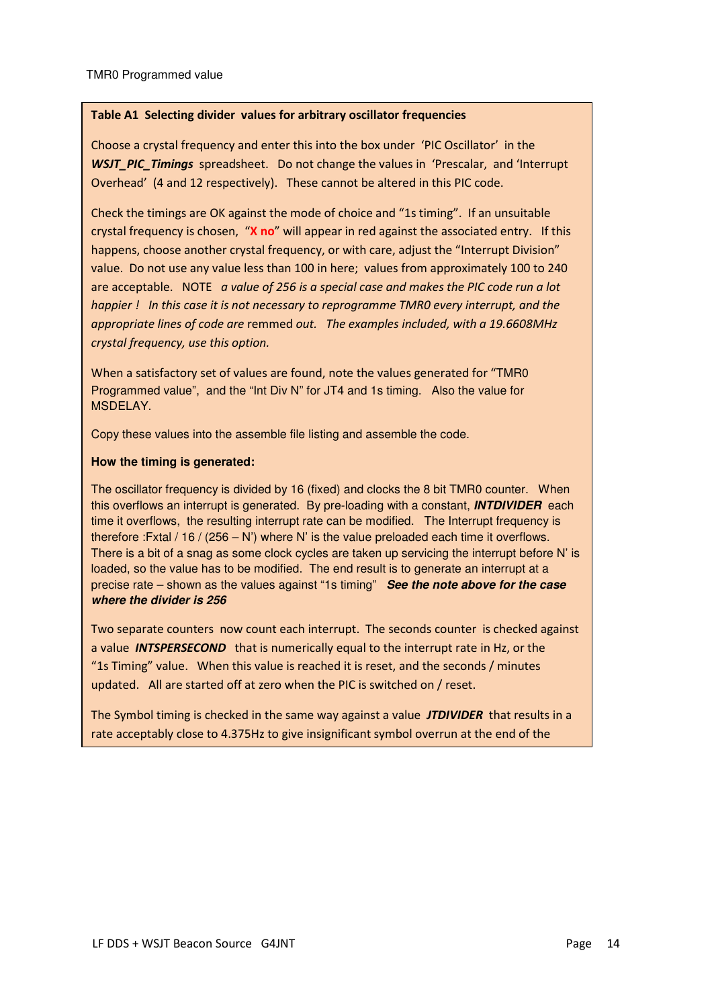#### Table A1 Selecting divider values for arbitrary oscillator frequencies

Choose a crystal frequency and enter this into the box under 'PIC Oscillator' in the WSJT PIC Timings spreadsheet. Do not change the values in 'Prescalar, and 'Interrupt Overhead' (4 and 12 respectively). These cannot be altered in this PIC code.

Check the timings are OK against the mode of choice and "1s timing". If an unsuitable crystal frequency is chosen, "X no" will appear in red against the associated entry. If this happens, choose another crystal frequency, or with care, adjust the "Interrupt Division" value. Do not use any value less than 100 in here; values from approximately 100 to 240 are acceptable. NOTE a value of 256 is a special case and makes the PIC code run a lot happier ! In this case it is not necessary to reprogramme TMR0 every interrupt, and the appropriate lines of code are remmed out. The examples included, with a 19.6608MHz crystal frequency, use this option.

When a satisfactory set of values are found, note the values generated for "TMR0 Programmed value", and the "Int Div N" for JT4 and 1s timing. Also the value for MSDELAY.

Copy these values into the assemble file listing and assemble the code.

#### **How the timing is generated:**

The oscillator frequency is divided by 16 (fixed) and clocks the 8 bit TMR0 counter. When this overflows an interrupt is generated. By pre-loading with a constant, **INTDIVIDER** each time it overflows, the resulting interrupt rate can be modified. The Interrupt frequency is therefore :Fxtal / 16 / (256 – N') where N' is the value preloaded each time it overflows. There is a bit of a snag as some clock cycles are taken up servicing the interrupt before N' is loaded, so the value has to be modified. The end result is to generate an interrupt at a precise rate – shown as the values against "1s timing" **See the note above for the case where the divider is 256**

Two separate counters now count each interrupt. The seconds counter is checked against a value **INTSPERSECOND** that is numerically equal to the interrupt rate in Hz, or the "1s Timing" value. When this value is reached it is reset, and the seconds / minutes updated. All are started off at zero when the PIC is switched on / reset.

The Symbol timing is checked in the same way against a value **JTDIVIDER** that results in a rate acceptably close to 4.375Hz to give insignificant symbol overrun at the end of the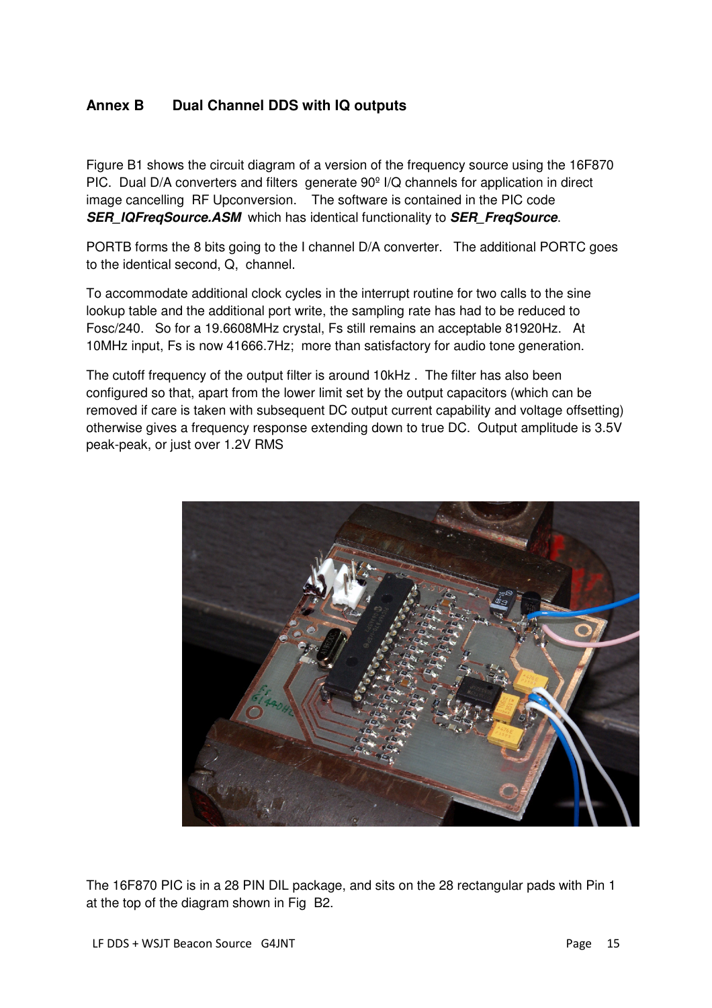# **Annex B Dual Channel DDS with IQ outputs**

Figure B1 shows the circuit diagram of a version of the frequency source using the 16F870 PIC. Dual D/A converters and filters generate 90º I/Q channels for application in direct image cancelling RF Upconversion. The software is contained in the PIC code **SER\_IQFreqSource.ASM** which has identical functionality to **SER\_FreqSource**.

PORTB forms the 8 bits going to the I channel D/A converter. The additional PORTC goes to the identical second, Q, channel.

To accommodate additional clock cycles in the interrupt routine for two calls to the sine lookup table and the additional port write, the sampling rate has had to be reduced to Fosc/240. So for a 19.6608MHz crystal, Fs still remains an acceptable 81920Hz. At 10MHz input, Fs is now 41666.7Hz; more than satisfactory for audio tone generation.

The cutoff frequency of the output filter is around 10kHz . The filter has also been configured so that, apart from the lower limit set by the output capacitors (which can be removed if care is taken with subsequent DC output current capability and voltage offsetting) otherwise gives a frequency response extending down to true DC. Output amplitude is 3.5V peak-peak, or just over 1.2V RMS



The 16F870 PIC is in a 28 PIN DIL package, and sits on the 28 rectangular pads with Pin 1 at the top of the diagram shown in Fig B2.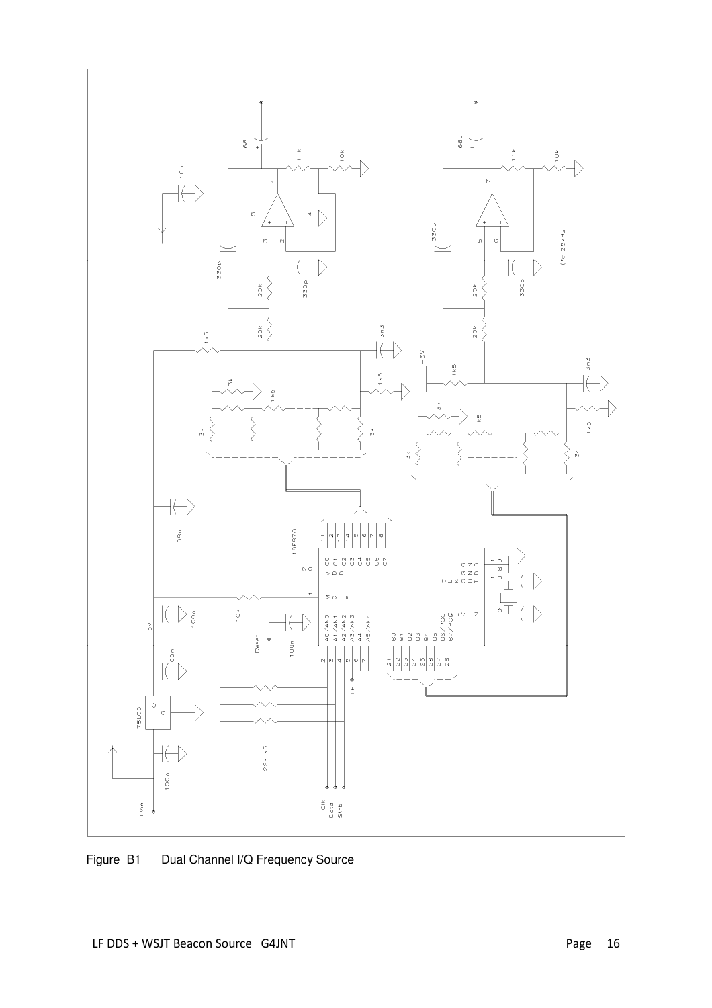

Figure B1 Dual Channel I/Q Frequency Source